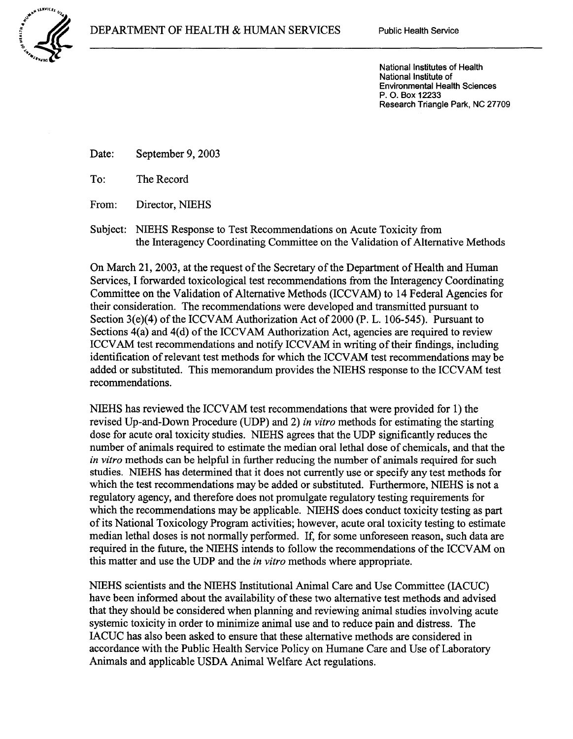National Institute of Environmental Health Sciences P. 0. Box 12233 Research Triangle Park, NC 27709

Date: September 9, 2003

To: The Record

From: Director, NIEHS

Subject: NIEHS Response to Test Recommendations on Acute Toxicity from the Interagency Coordinating Committee on the Validation of Alternative Methods

On March 21, 2003, at the request of the Secretary of the Department of Health and Human Services, I forwarded toxicological test recommendations from the Interagency Coordinating Committee on the Validation of Alternative Methods (ICCV AM) to 14 Federal Agencies for their consideration. The recommendations were developed and transmitted pursuant to Section  $3(e)(4)$  of the ICCVAM Authorization Act of 2000 (P. L. 106-545). Pursuant to Sections 4(a) and 4(d) of the ICCVAM Authorization Act, agencies are required to review ICCVAM test recommendations and notify ICCVAM in writing of their findings, including identification of relevant test methods for which the ICCVAM test recommendations may be added or substituted. This memorandum provides the NIEHS response to the ICCV AM test recommendations.

NIEHS has reviewed the ICCV AM test recommendations that were provided for 1) the revised Up-and-Down Procedure (UDP) and 2) *in vitro* methods for estimating the starting dose for acute oral toxicity studies. NIEHS agrees that the UDP significantly reduces the number of animals required to estimate the median oral lethal dose of chemicals, and that the *in vitro* methods can be helpful in further reducing the number of animals required for such studies. NIEHS has determined that it does not currently use or specify any test methods for which the test recommendations may be added or substituted. Furthermore, NIEHS is not a regulatory agency, and therefore does not promulgate regulatory testing requirements for which the recommendations may be applicable. NIEHS does conduct toxicity testing as part of its National Toxicology Program activities; however, acute oral toxicity testing to estimate median lethal doses is not normally performed. If, for some unforeseen reason, such data are required in the future, the NIEHS intends to follow the recommendations of the ICCVAM on this matter and use the UDP and the *in vitro* methods where appropriate.

NIEHS scientists and the NIEHS Institutional Animal Care and Use Committee (IACUC) have been informed about the availability of these two alternative test methods and advised that they should be considered when planning and reviewing animal studies involving acute systemic toxicity in order to minimize animal use and to reduce pain and distress. The IACUC has also been asked to ensure that these alternative methods are considered in accordance with the Public Health Service Policy on Humane Care and Use of Laboratory Animals and applicable USDA Animal Welfare Act regulations.